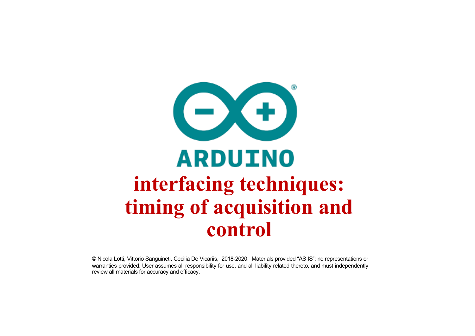

© Nicola Lotti, Vittorio Sanguineti, Cecilia De Vicariis, 2018-2020. Materials provided "AS IS"; no representations or warranties provided. User assumes all responsibility for use, and all liability related thereto, and must independently review all materials for accuracy and efficacy.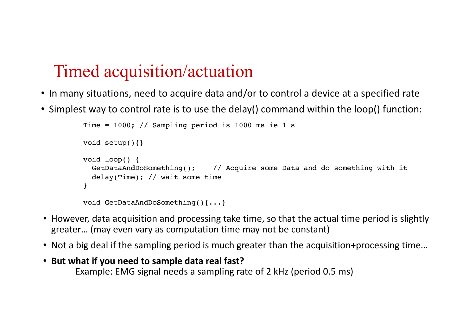## Timed acquisition/actuation

- In many situations, need to acquire data and/or to control a device at a specified rate
- Simplest way to control rate is to use the delay() command within the loop() function:

```
Time = 1000; // Sampling period is 1000 ms ie 1 s
void setup(){}
void loop() {
  GetDataAndDoSomething(); // Acquire some Data and do something with it
  delay(Time); // wait some time
}
void GetDataAndDoSomething(){...}
```
- However, data acquisition and processing take time, so that the actual time period is slightly greater… (may even vary as computation time may not be constant)
- Not a big deal if the sampling period is much greater than the acquisition+processing time…
- **But what if you need to sample data real fast?**  Example: EMG signal needs a sampling rate of 2 kHz (period 0.5 ms)